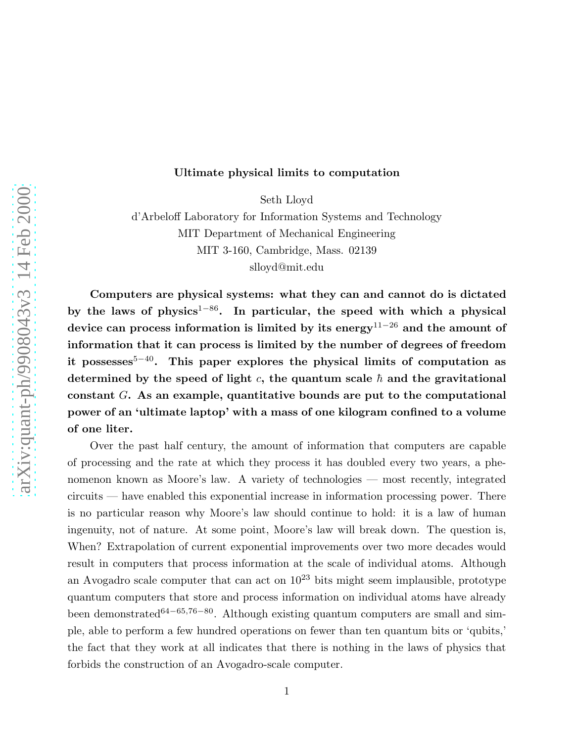## Ultimate physical limits to computation

Seth Lloyd

d'Arbeloff Laboratory for Information Systems and Technology MIT Department of Mechanical Engineering MIT 3-160, Cambridge, Mass. 02139 slloyd@mit.edu

Computers are physical systems: what they can and cannot do is dictated by the laws of physics<sup>1−86</sup>. In particular, the speed with which a physical device can process information is limited by its energy<sup>11–26</sup> and the amount of information that it can process is limited by the number of degrees of freedom it possesses<sup>5−40</sup>. This paper explores the physical limits of computation as determined by the speed of light c, the quantum scale  $\hbar$  and the gravitational constant G. As an example, quantitative bounds are put to the computational power of an 'ultimate laptop' with a mass of one kilogram confined to a volume of one liter.

Over the past half century, the amount of information that computers are capable of processing and the rate at which they process it has doubled every two years, a phenomenon known as Moore's law. A variety of technologies — most recently, integrated circuits — have enabled this exponential increase in information processing power. There is no particular reason why Moore's law should continue to hold: it is a law of human ingenuity, not of nature. At some point, Moore's law will break down. The question is, When? Extrapolation of current exponential improvements over two more decades would result in computers that process information at the scale of individual atoms. Although an Avogadro scale computer that can act on  $10^{23}$  bits might seem implausible, prototype quantum computers that store and process information on individual atoms have already been demonstrated<sup>64–65,76–80</sup>. Although existing quantum computers are small and simple, able to perform a few hundred operations on fewer than ten quantum bits or 'qubits,' the fact that they work at all indicates that there is nothing in the laws of physics that forbids the construction of an Avogadro-scale computer.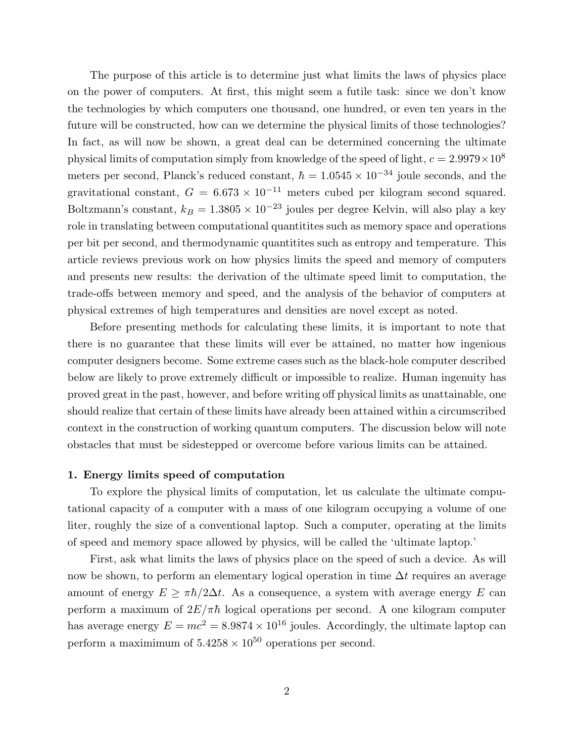The purpose of this article is to determine just what limits the laws of physics place on the power of computers. At first, this might seem a futile task: since we don't know the technologies by which computers one thousand, one hundred, or even ten years in the future will be constructed, how can we determine the physical limits of those technologies? In fact, as will now be shown, a great deal can be determined concerning the ultimate physical limits of computation simply from knowledge of the speed of light,  $c = 2.9979 \times 10^8$ meters per second, Planck's reduced constant,  $\hbar = 1.0545 \times 10^{-34}$  joule seconds, and the gravitational constant,  $G = 6.673 \times 10^{-11}$  meters cubed per kilogram second squared. Boltzmann's constant,  $k_B = 1.3805 \times 10^{-23}$  joules per degree Kelvin, will also play a key role in translating between computational quantitites such as memory space and operations per bit per second, and thermodynamic quantitites such as entropy and temperature. This article reviews previous work on how physics limits the speed and memory of computers and presents new results: the derivation of the ultimate speed limit to computation, the trade-offs between memory and speed, and the analysis of the behavior of computers at physical extremes of high temperatures and densities are novel except as noted.

Before presenting methods for calculating these limits, it is important to note that there is no guarantee that these limits will ever be attained, no matter how ingenious computer designers become. Some extreme cases such as the black-hole computer described below are likely to prove extremely difficult or impossible to realize. Human ingenuity has proved great in the past, however, and before writing off physical limits as unattainable, one should realize that certain of these limits have already been attained within a circumscribed context in the construction of working quantum computers. The discussion below will note obstacles that must be sidestepped or overcome before various limits can be attained.

## 1. Energy limits speed of computation

To explore the physical limits of computation, let us calculate the ultimate computational capacity of a computer with a mass of one kilogram occupying a volume of one liter, roughly the size of a conventional laptop. Such a computer, operating at the limits of speed and memory space allowed by physics, will be called the 'ultimate laptop.'

First, ask what limits the laws of physics place on the speed of such a device. As will now be shown, to perform an elementary logical operation in time  $\Delta t$  requires an average amount of energy  $E \geq \pi \hbar/2\Delta t$ . As a consequence, a system with average energy E can perform a maximum of  $2E/\pi\hbar$  logical operations per second. A one kilogram computer has average energy  $E = mc^2 = 8.9874 \times 10^{16}$  joules. Accordingly, the ultimate laptop can perform a maximimum of  $5.4258 \times 10^{50}$  operations per second.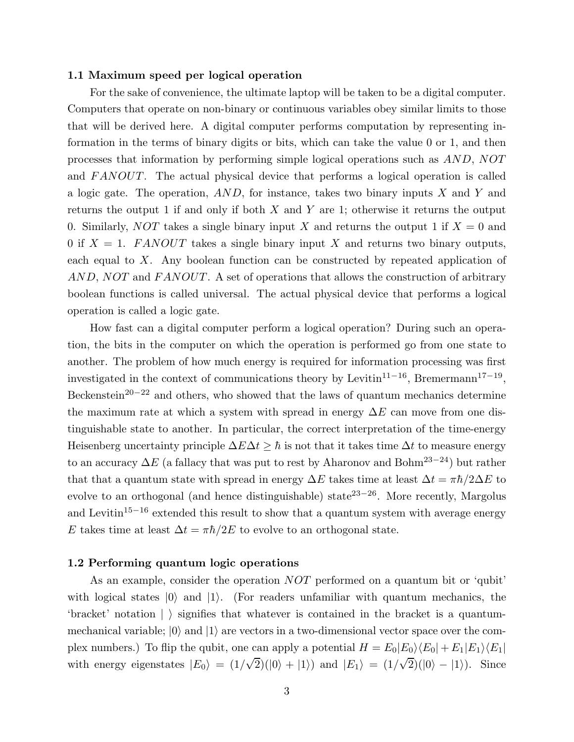## 1.1 Maximum speed per logical operation

For the sake of convenience, the ultimate laptop will be taken to be a digital computer. Computers that operate on non-binary or continuous variables obey similar limits to those that will be derived here. A digital computer performs computation by representing information in the terms of binary digits or bits, which can take the value 0 or 1, and then processes that information by performing simple logical operations such as AND, NOT and  $FANOUT$ . The actual physical device that performs a logical operation is called a logic gate. The operation,  $AND$ , for instance, takes two binary inputs X and Y and returns the output 1 if and only if both  $X$  and  $Y$  are 1; otherwise it returns the output 0. Similarly, NOT takes a single binary input X and returns the output 1 if  $X = 0$  and 0 if  $X = 1$ . FANOUT takes a single binary input X and returns two binary outputs, each equal to X. Any boolean function can be constructed by repeated application of AND, NOT and FANOUT. A set of operations that allows the construction of arbitrary boolean functions is called universal. The actual physical device that performs a logical operation is called a logic gate.

How fast can a digital computer perform a logical operation? During such an operation, the bits in the computer on which the operation is performed go from one state to another. The problem of how much energy is required for information processing was first investigated in the context of communications theory by Levitin<sup>11–16</sup>, Bremermann<sup>17–19</sup>, Beckenstein<sup>20−22</sup> and others, who showed that the laws of quantum mechanics determine the maximum rate at which a system with spread in energy  $\Delta E$  can move from one distinguishable state to another. In particular, the correct interpretation of the time-energy Heisenberg uncertainty principle  $\Delta E \Delta t \geq \hbar$  is not that it takes time  $\Delta t$  to measure energy to an accuracy  $\Delta E$  (a fallacy that was put to rest by Aharonov and Bohm<sup>23–24</sup>) but rather that that a quantum state with spread in energy  $\Delta E$  takes time at least  $\Delta t = \pi \hbar/2\Delta E$  to evolve to an orthogonal (and hence distinguishable) state<sup>23−26</sup>. More recently, Margolus and Levitin<sup>15−16</sup> extended this result to show that a quantum system with average energy E takes time at least  $\Delta t = \pi \hbar/2E$  to evolve to an orthogonal state.

### 1.2 Performing quantum logic operations

As an example, consider the operation NOT performed on a quantum bit or 'qubit' with logical states  $|0\rangle$  and  $|1\rangle$ . (For readers unfamiliar with quantum mechanics, the 'bracket' notation  $|\rangle$  signifies that whatever is contained in the bracket is a quantummechanical variable;  $|0\rangle$  and  $|1\rangle$  are vectors in a two-dimensional vector space over the complex numbers.) To flip the qubit, one can apply a potential  $H = E_0|E_0\rangle\langle E_0| + E_1|E_1\rangle\langle E_1|$ with energy eigenstates  $|E_0\rangle = (1/\sqrt{2})(|0\rangle + |1\rangle)$  and  $|E_1\rangle = (1/\sqrt{2})(|0\rangle - |1\rangle)$ . Since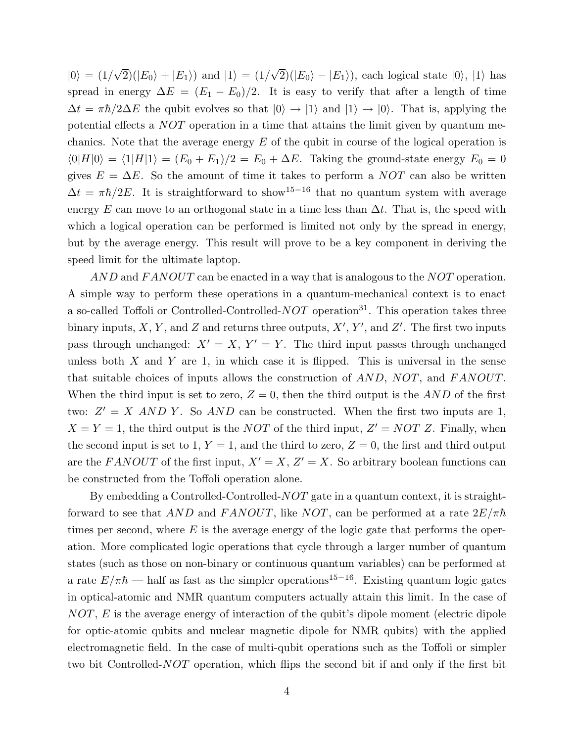$|0\rangle = (1/\sqrt{2})(|E_0\rangle + |E_1\rangle)$  and  $|1\rangle = (1/\sqrt{2})(|E_0\rangle - |E_1\rangle)$ , each logical state  $|0\rangle$ ,  $|1\rangle$  has spread in energy  $\Delta E = (E_1 - E_0)/2$ . It is easy to verify that after a length of time  $\Delta t = \pi \hbar/2\Delta E$  the qubit evolves so that  $|0\rangle \rightarrow |1\rangle$  and  $|1\rangle \rightarrow |0\rangle$ . That is, applying the potential effects a NOT operation in a time that attains the limit given by quantum mechanics. Note that the average energy  $E$  of the qubit in course of the logical operation is  $\langle 0|H|0\rangle = \langle 1|H|1\rangle = (E_0 + E_1)/2 = E_0 + \Delta E$ . Taking the ground-state energy  $E_0 = 0$ gives  $E = \Delta E$ . So the amount of time it takes to perform a *NOT* can also be written  $\Delta t = \pi \hbar/2E$ . It is straightforward to show<sup>15–16</sup> that no quantum system with average energy E can move to an orthogonal state in a time less than  $\Delta t$ . That is, the speed with which a logical operation can be performed is limited not only by the spread in energy, but by the average energy. This result will prove to be a key component in deriving the speed limit for the ultimate laptop.

AND and FANOUT can be enacted in a way that is analogous to the NOT operation. A simple way to perform these operations in a quantum-mechanical context is to enact a so-called Toffoli or Controlled-Controlled- $NOT$  operation<sup>31</sup>. This operation takes three binary inputs, X, Y, and Z and returns three outputs,  $X'$ , Y', and Z'. The first two inputs pass through unchanged:  $X' = X$ ,  $Y' = Y$ . The third input passes through unchanged unless both  $X$  and  $Y$  are 1, in which case it is flipped. This is universal in the sense that suitable choices of inputs allows the construction of  $AND$ ,  $NOT$ , and  $FANOUT$ . When the third input is set to zero,  $Z = 0$ , then the third output is the AND of the first two:  $Z' = X \, AND \, Y$ . So  $AND \,$  can be constructed. When the first two inputs are 1,  $X = Y = 1$ , the third output is the *NOT* of the third input,  $Z' = NOT Z$ . Finally, when the second input is set to 1,  $Y = 1$ , and the third to zero,  $Z = 0$ , the first and third output are the FANOUT of the first input,  $X' = X$ ,  $Z' = X$ . So arbitrary boolean functions can be constructed from the Toffoli operation alone.

By embedding a Controlled-Controlled- $NOT$  gate in a quantum context, it is straightforward to see that AND and FANOUT, like NOT, can be performed at a rate  $2E/\pi\hbar$ times per second, where  $E$  is the average energy of the logic gate that performs the operation. More complicated logic operations that cycle through a larger number of quantum states (such as those on non-binary or continuous quantum variables) can be performed at a rate  $E/\pi\hbar$  — half as fast as the simpler operations<sup>15−16</sup>. Existing quantum logic gates in optical-atomic and NMR quantum computers actually attain this limit. In the case of NOT, E is the average energy of interaction of the qubit's dipole moment (electric dipole for optic-atomic qubits and nuclear magnetic dipole for NMR qubits) with the applied electromagnetic field. In the case of multi-qubit operations such as the Toffoli or simpler two bit Controlled-NOT operation, which flips the second bit if and only if the first bit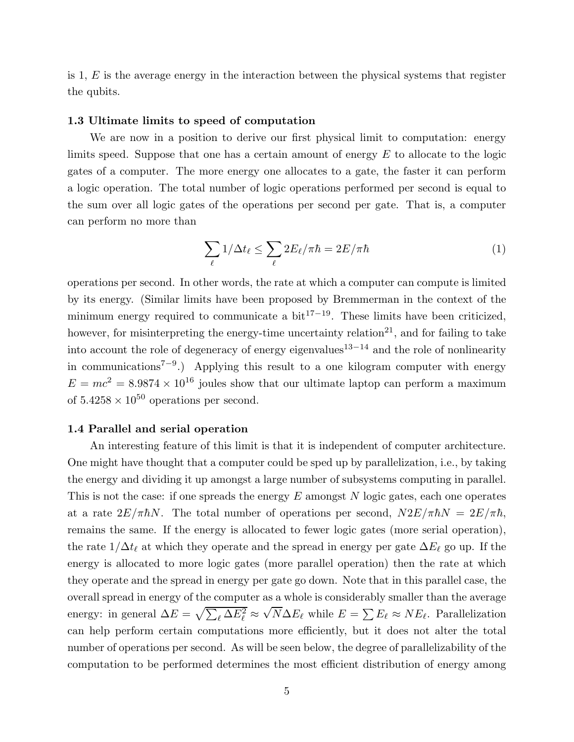is 1,  $E$  is the average energy in the interaction between the physical systems that register the qubits.

## 1.3 Ultimate limits to speed of computation

We are now in a position to derive our first physical limit to computation: energy limits speed. Suppose that one has a certain amount of energy  $E$  to allocate to the logic gates of a computer. The more energy one allocates to a gate, the faster it can perform a logic operation. The total number of logic operations performed per second is equal to the sum over all logic gates of the operations per second per gate. That is, a computer can perform no more than

$$
\sum_{\ell} 1/\Delta t_{\ell} \le \sum_{\ell} 2E_{\ell}/\pi \hbar = 2E/\pi \hbar \tag{1}
$$

operations per second. In other words, the rate at which a computer can compute is limited by its energy. (Similar limits have been proposed by Bremmerman in the context of the minimum energy required to communicate a  $bit^{17-19}$ . These limits have been criticized, however, for misinterpreting the energy-time uncertainty relation<sup>21</sup>, and for failing to take into account the role of degeneracy of energy eigenvalues<sup>13–14</sup> and the role of nonlinearity in communications<sup>7</sup>−<sup>9</sup> .) Applying this result to a one kilogram computer with energy  $E = mc^2 = 8.9874 \times 10^{16}$  joules show that our ultimate laptop can perform a maximum of  $5.4258 \times 10^{50}$  operations per second.

### 1.4 Parallel and serial operation

An interesting feature of this limit is that it is independent of computer architecture. One might have thought that a computer could be sped up by parallelization, i.e., by taking the energy and dividing it up amongst a large number of subsystems computing in parallel. This is not the case: if one spreads the energy  $E$  amongst  $N$  logic gates, each one operates at a rate  $2E/\pi\hbar N$ . The total number of operations per second,  $N2E/\pi\hbar N = 2E/\pi\hbar$ , remains the same. If the energy is allocated to fewer logic gates (more serial operation), the rate  $1/\Delta t_{\ell}$  at which they operate and the spread in energy per gate  $\Delta E_{\ell}$  go up. If the energy is allocated to more logic gates (more parallel operation) then the rate at which they operate and the spread in energy per gate go down. Note that in this parallel case, the overall spread in energy of the computer as a whole is considerably smaller than the average energy: in general  $\Delta E = \sqrt{\sum_{\ell} \Delta E_{\ell}^2} \approx$  $\sqrt{N}\Delta E_{\ell}$  while  $E = \sum E_{\ell} \approx NE_{\ell}$ . Parallelization can help perform certain computations more efficiently, but it does not alter the total number of operations per second. As will be seen below, the degree of parallelizability of the computation to be performed determines the most efficient distribution of energy among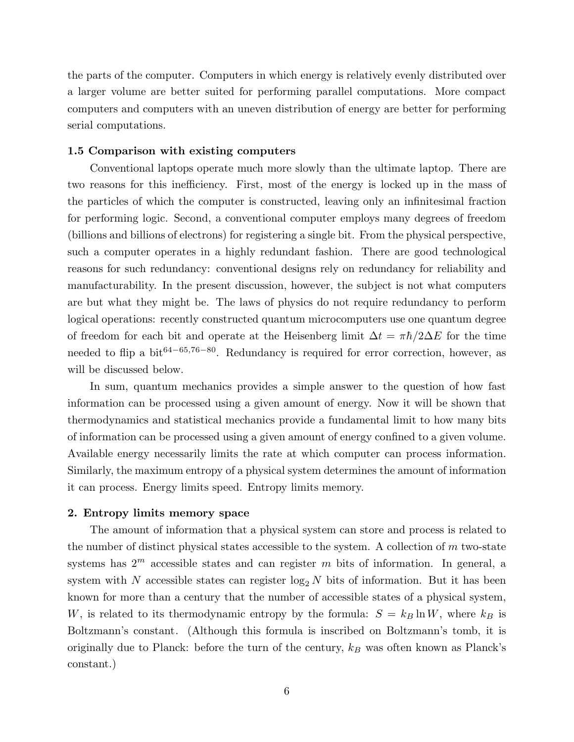the parts of the computer. Computers in which energy is relatively evenly distributed over a larger volume are better suited for performing parallel computations. More compact computers and computers with an uneven distribution of energy are better for performing serial computations.

# 1.5 Comparison with existing computers

Conventional laptops operate much more slowly than the ultimate laptop. There are two reasons for this inefficiency. First, most of the energy is locked up in the mass of the particles of which the computer is constructed, leaving only an infinitesimal fraction for performing logic. Second, a conventional computer employs many degrees of freedom (billions and billions of electrons) for registering a single bit. From the physical perspective, such a computer operates in a highly redundant fashion. There are good technological reasons for such redundancy: conventional designs rely on redundancy for reliability and manufacturability. In the present discussion, however, the subject is not what computers are but what they might be. The laws of physics do not require redundancy to perform logical operations: recently constructed quantum microcomputers use one quantum degree of freedom for each bit and operate at the Heisenberg limit  $\Delta t = \pi \hbar/2\Delta E$  for the time needed to flip a bit<sup>64–65,76–80</sup>. Redundancy is required for error correction, however, as will be discussed below.

In sum, quantum mechanics provides a simple answer to the question of how fast information can be processed using a given amount of energy. Now it will be shown that thermodynamics and statistical mechanics provide a fundamental limit to how many bits of information can be processed using a given amount of energy confined to a given volume. Available energy necessarily limits the rate at which computer can process information. Similarly, the maximum entropy of a physical system determines the amount of information it can process. Energy limits speed. Entropy limits memory.

### 2. Entropy limits memory space

The amount of information that a physical system can store and process is related to the number of distinct physical states accessible to the system. A collection of  $m$  two-state systems has  $2^m$  accessible states and can register m bits of information. In general, a system with N accessible states can register  $\log_2 N$  bits of information. But it has been known for more than a century that the number of accessible states of a physical system, W, is related to its thermodynamic entropy by the formula:  $S = k_B \ln W$ , where  $k_B$  is Boltzmann's constant. (Although this formula is inscribed on Boltzmann's tomb, it is originally due to Planck: before the turn of the century,  $k_B$  was often known as Planck's constant.)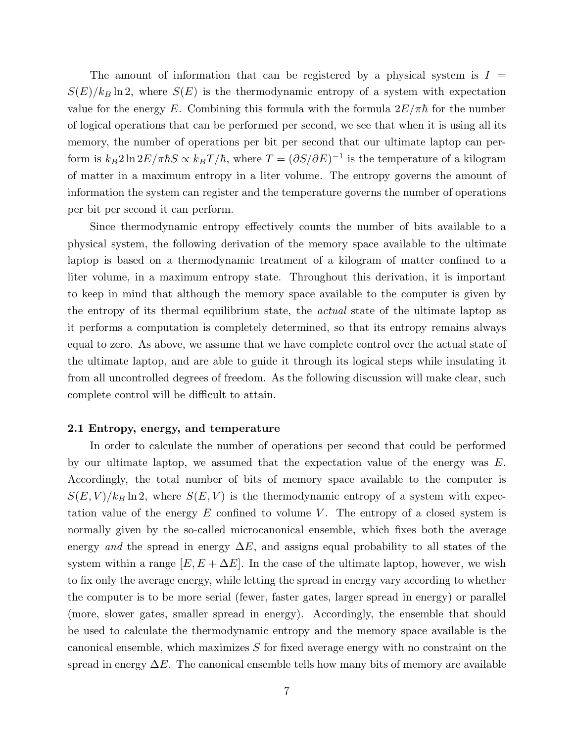The amount of information that can be registered by a physical system is  $I =$  $S(E)/k_B \ln 2$ , where  $S(E)$  is the thermodynamic entropy of a system with expectation value for the energy E. Combining this formula with the formula  $2E/\pi\hbar$  for the number of logical operations that can be performed per second, we see that when it is using all its memory, the number of operations per bit per second that our ultimate laptop can perform is  $k_B 2 \ln 2E/\pi \hbar S \propto k_B T/\hbar$ , where  $T = (\partial S/\partial E)^{-1}$  is the temperature of a kilogram of matter in a maximum entropy in a liter volume. The entropy governs the amount of information the system can register and the temperature governs the number of operations per bit per second it can perform.

Since thermodynamic entropy effectively counts the number of bits available to a physical system, the following derivation of the memory space available to the ultimate laptop is based on a thermodynamic treatment of a kilogram of matter confined to a liter volume, in a maximum entropy state. Throughout this derivation, it is important to keep in mind that although the memory space available to the computer is given by the entropy of its thermal equilibrium state, the *actual* state of the ultimate laptop as it performs a computation is completely determined, so that its entropy remains always equal to zero. As above, we assume that we have complete control over the actual state of the ultimate laptop, and are able to guide it through its logical steps while insulating it from all uncontrolled degrees of freedom. As the following discussion will make clear, such complete control will be difficult to attain.

### 2.1 Entropy, energy, and temperature

In order to calculate the number of operations per second that could be performed by our ultimate laptop, we assumed that the expectation value of the energy was E. Accordingly, the total number of bits of memory space available to the computer is  $S(E, V)/k_B \ln 2$ , where  $S(E, V)$  is the thermodynamic entropy of a system with expectation value of the energy  $E$  confined to volume  $V$ . The entropy of a closed system is normally given by the so-called microcanonical ensemble, which fixes both the average energy *and* the spread in energy  $\Delta E$ , and assigns equal probability to all states of the system within a range  $[E, E + \Delta E]$ . In the case of the ultimate laptop, however, we wish to fix only the average energy, while letting the spread in energy vary according to whether the computer is to be more serial (fewer, faster gates, larger spread in energy) or parallel (more, slower gates, smaller spread in energy). Accordingly, the ensemble that should be used to calculate the thermodynamic entropy and the memory space available is the canonical ensemble, which maximizes S for fixed average energy with no constraint on the spread in energy  $\Delta E$ . The canonical ensemble tells how many bits of memory are available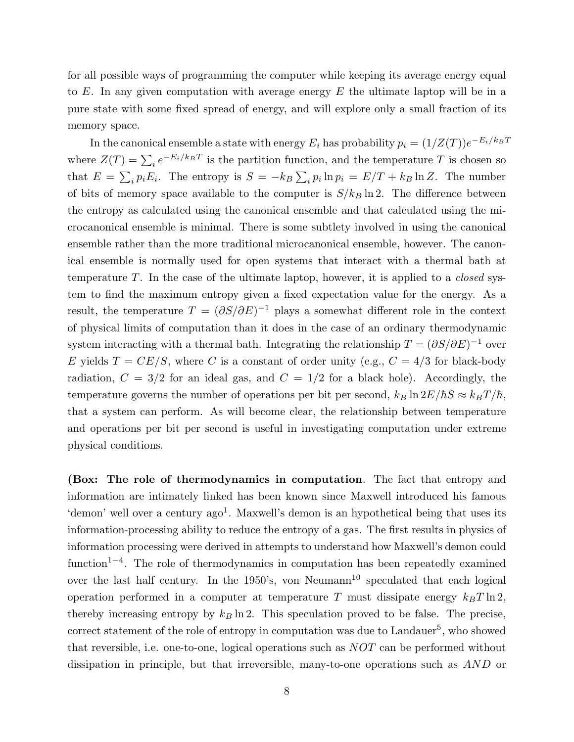for all possible ways of programming the computer while keeping its average energy equal to  $E$ . In any given computation with average energy  $E$  the ultimate laptop will be in a pure state with some fixed spread of energy, and will explore only a small fraction of its memory space.

In the canonical ensemble a state with energy  $E_i$  has probability  $p_i = (1/Z(T))e^{-E_i/k_B T}$ where  $Z(T) = \sum_i e^{-E_i/k_B T}$  is the partition function, and the temperature T is chosen so that  $E = \sum_i p_i E_i$ . The entropy is  $S = -k_B \sum_i p_i \ln p_i = E/T + k_B \ln Z$ . The number of bits of memory space available to the computer is  $S/k_B \ln 2$ . The difference between the entropy as calculated using the canonical ensemble and that calculated using the microcanonical ensemble is minimal. There is some subtlety involved in using the canonical ensemble rather than the more traditional microcanonical ensemble, however. The canonical ensemble is normally used for open systems that interact with a thermal bath at temperature T. In the case of the ultimate laptop, however, it is applied to a *closed* system to find the maximum entropy given a fixed expectation value for the energy. As a result, the temperature  $T = (\partial S/\partial E)^{-1}$  plays a somewhat different role in the context of physical limits of computation than it does in the case of an ordinary thermodynamic system interacting with a thermal bath. Integrating the relationship  $T = (\partial S/\partial E)^{-1}$  over E yields  $T = CE/S$ , where C is a constant of order unity (e.g.,  $C = 4/3$  for black-body radiation,  $C = 3/2$  for an ideal gas, and  $C = 1/2$  for a black hole). Accordingly, the temperature governs the number of operations per bit per second,  $k_B \ln 2E/\hbar S \approx k_B T/\hbar$ , that a system can perform. As will become clear, the relationship between temperature and operations per bit per second is useful in investigating computation under extreme physical conditions.

(Box: The role of thermodynamics in computation. The fact that entropy and information are intimately linked has been known since Maxwell introduced his famous 'demon' well over a century ago<sup>1</sup>. Maxwell's demon is an hypothetical being that uses its information-processing ability to reduce the entropy of a gas. The first results in physics of information processing were derived in attempts to understand how Maxwell's demon could function<sup>1-4</sup>. The role of thermodynamics in computation has been repeatedly examined over the last half century. In the  $1950$ 's, von Neumann<sup>10</sup> speculated that each logical operation performed in a computer at temperature T must dissipate energy  $k_BT \ln 2$ , thereby increasing entropy by  $k_B \ln 2$ . This speculation proved to be false. The precise, correct statement of the role of entropy in computation was due to Landauer<sup>5</sup>, who showed that reversible, i.e. one-to-one, logical operations such as NOT can be performed without dissipation in principle, but that irreversible, many-to-one operations such as AND or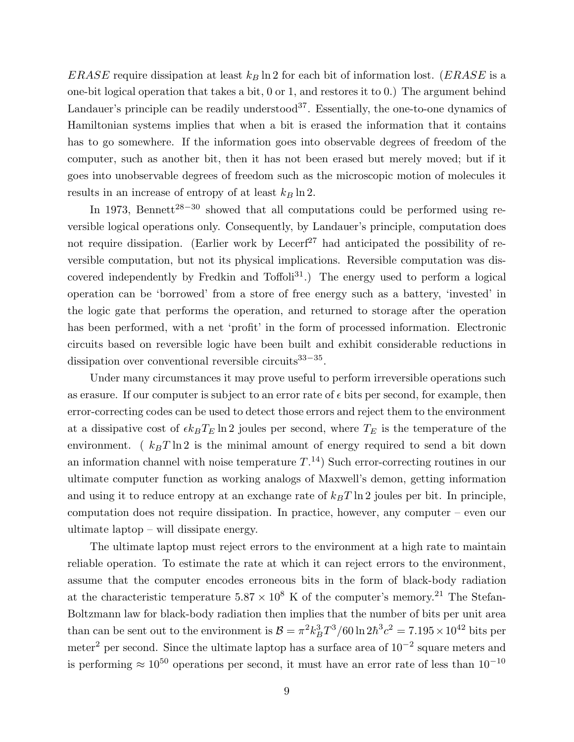ERASE require dissipation at least  $k_B \ln 2$  for each bit of information lost. (ERASE is a one-bit logical operation that takes a bit, 0 or 1, and restores it to 0.) The argument behind Landauer's principle can be readily understood<sup>37</sup>. Essentially, the one-to-one dynamics of Hamiltonian systems implies that when a bit is erased the information that it contains has to go somewhere. If the information goes into observable degrees of freedom of the computer, such as another bit, then it has not been erased but merely moved; but if it goes into unobservable degrees of freedom such as the microscopic motion of molecules it results in an increase of entropy of at least  $k_B \ln 2$ .

In 1973, Bennett<sup>28−30</sup> showed that all computations could be performed using reversible logical operations only. Consequently, by Landauer's principle, computation does not require dissipation. (Earlier work by Lecerf<sup>27</sup> had anticipated the possibility of reversible computation, but not its physical implications. Reversible computation was discovered independently by Fredkin and Toffoli<sup>31</sup>.) The energy used to perform a logical operation can be 'borrowed' from a store of free energy such as a battery, 'invested' in the logic gate that performs the operation, and returned to storage after the operation has been performed, with a net 'profit' in the form of processed information. Electronic circuits based on reversible logic have been built and exhibit considerable reductions in dissipation over conventional reversible circuits<sup>33–35</sup>.

Under many circumstances it may prove useful to perform irreversible operations such as erasure. If our computer is subject to an error rate of  $\epsilon$  bits per second, for example, then error-correcting codes can be used to detect those errors and reject them to the environment at a dissipative cost of  $\epsilon k_B T_E \ln 2$  joules per second, where  $T_E$  is the temperature of the environment. ( $k_BT \ln 2$  is the minimal amount of energy required to send a bit down an information channel with noise temperature  $T^{(14)}$ . Such error-correcting routines in our ultimate computer function as working analogs of Maxwell's demon, getting information and using it to reduce entropy at an exchange rate of  $k_BT \ln 2$  joules per bit. In principle, computation does not require dissipation. In practice, however, any computer – even our ultimate laptop – will dissipate energy.

The ultimate laptop must reject errors to the environment at a high rate to maintain reliable operation. To estimate the rate at which it can reject errors to the environment, assume that the computer encodes erroneous bits in the form of black-body radiation at the characteristic temperature  $5.87 \times 10^8$  K of the computer's memory.<sup>21</sup> The Stefan-Boltzmann law for black-body radiation then implies that the number of bits per unit area than can be sent out to the environment is  $B = \pi^2 k_B^3 T^3 / 60 \ln 2 \hbar^3 c^2 = 7.195 \times 10^{42}$  bits per meter<sup>2</sup> per second. Since the ultimate laptop has a surface area of  $10^{-2}$  square meters and is performing  $\approx 10^{50}$  operations per second, it must have an error rate of less than  $10^{-10}$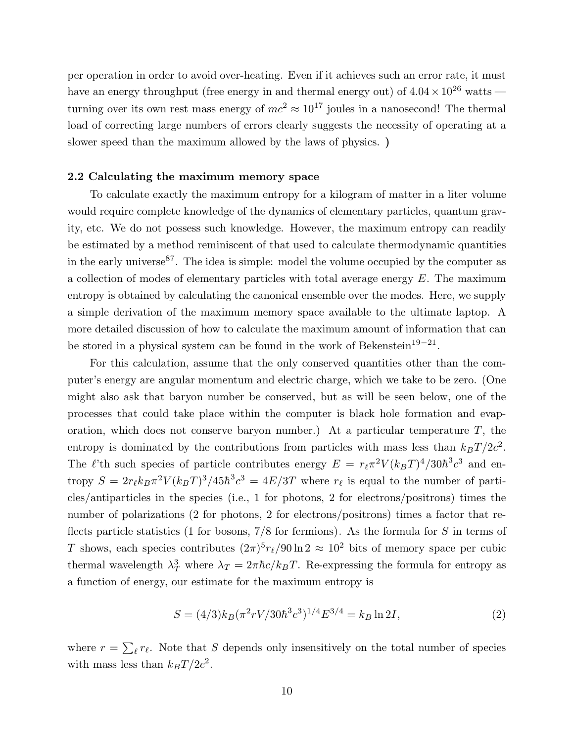per operation in order to avoid over-heating. Even if it achieves such an error rate, it must have an energy throughput (free energy in and thermal energy out) of  $4.04 \times 10^{26}$  watts turning over its own rest mass energy of  $mc^2 \approx 10^{17}$  joules in a nanosecond! The thermal load of correcting large numbers of errors clearly suggests the necessity of operating at a slower speed than the maximum allowed by the laws of physics. )

## 2.2 Calculating the maximum memory space

To calculate exactly the maximum entropy for a kilogram of matter in a liter volume would require complete knowledge of the dynamics of elementary particles, quantum gravity, etc. We do not possess such knowledge. However, the maximum entropy can readily be estimated by a method reminiscent of that used to calculate thermodynamic quantities in the early universe  $87$ . The idea is simple: model the volume occupied by the computer as a collection of modes of elementary particles with total average energy E. The maximum entropy is obtained by calculating the canonical ensemble over the modes. Here, we supply a simple derivation of the maximum memory space available to the ultimate laptop. A more detailed discussion of how to calculate the maximum amount of information that can be stored in a physical system can be found in the work of Bekenstein<sup>19–21</sup>.

For this calculation, assume that the only conserved quantities other than the computer's energy are angular momentum and electric charge, which we take to be zero. (One might also ask that baryon number be conserved, but as will be seen below, one of the processes that could take place within the computer is black hole formation and evaporation, which does not conserve baryon number.) At a particular temperature  $T$ , the entropy is dominated by the contributions from particles with mass less than  $k_B T / 2c^2$ . The  $\ell$ 'th such species of particle contributes energy  $E = r_{\ell} \pi^2 V (k_B T)^4 / 30 \hbar^3 c^3$  and entropy  $S = 2r_{\ell}k_B\pi^2 V(k_BT)^3/45\hbar^3c^3 = 4E/3T$  where  $r_{\ell}$  is equal to the number of particles/antiparticles in the species (i.e., 1 for photons, 2 for electrons/positrons) times the number of polarizations (2 for photons, 2 for electrons/positrons) times a factor that reflects particle statistics (1 for bosons,  $7/8$  for fermions). As the formula for S in terms of T shows, each species contributes  $(2\pi)^5 r_\ell / 90 \ln 2 \approx 10^2$  bits of memory space per cubic thermal wavelength  $\lambda_T^3$  where  $\lambda_T = 2\pi\hbar c/k_BT$ . Re-expressing the formula for entropy as a function of energy, our estimate for the maximum entropy is

$$
S = (4/3)k_B(\pi^2 r V/30\hbar^3 c^3)^{1/4} E^{3/4} = k_B \ln 2I,
$$
\n(2)

where  $r = \sum_{\ell} r_{\ell}$ . Note that S depends only insensitively on the total number of species with mass less than  $k_BT / 2c^2$ .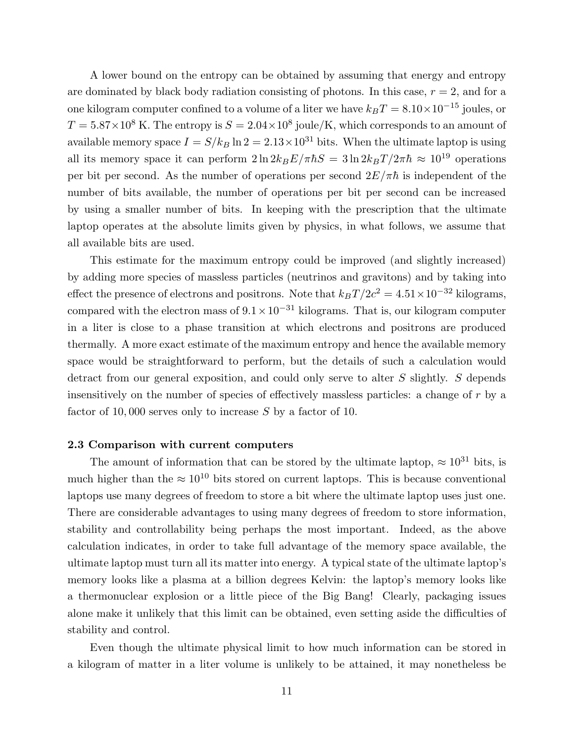A lower bound on the entropy can be obtained by assuming that energy and entropy are dominated by black body radiation consisting of photons. In this case,  $r = 2$ , and for a one kilogram computer confined to a volume of a liter we have  $k_BT = 8.10 \times 10^{-15}$  joules, or  $T = 5.87 \times 10^8$  K. The entropy is  $S = 2.04 \times 10^8$  joule/K, which corresponds to an amount of available memory space  $I = S/k_B \ln 2 = 2.13 \times 10^{31}$  bits. When the ultimate laptop is using all its memory space it can perform  $2 \ln 2k_B E / \pi \hbar S = 3 \ln 2k_B T / 2 \pi \hbar \approx 10^{19}$  operations per bit per second. As the number of operations per second  $2E/\pi\hbar$  is independent of the number of bits available, the number of operations per bit per second can be increased by using a smaller number of bits. In keeping with the prescription that the ultimate laptop operates at the absolute limits given by physics, in what follows, we assume that all available bits are used.

This estimate for the maximum entropy could be improved (and slightly increased) by adding more species of massless particles (neutrinos and gravitons) and by taking into effect the presence of electrons and positrons. Note that  $k_B T / 2c^2 = 4.51 \times 10^{-32}$  kilograms, compared with the electron mass of  $9.1 \times 10^{-31}$  kilograms. That is, our kilogram computer in a liter is close to a phase transition at which electrons and positrons are produced thermally. A more exact estimate of the maximum entropy and hence the available memory space would be straightforward to perform, but the details of such a calculation would detract from our general exposition, and could only serve to alter S slightly. S depends insensitively on the number of species of effectively massless particles: a change of r by a factor of 10,000 serves only to increase S by a factor of 10.

### 2.3 Comparison with current computers

The amount of information that can be stored by the ultimate laptop,  $\approx 10^{31}$  bits, is much higher than the  $\approx 10^{10}$  bits stored on current laptops. This is because conventional laptops use many degrees of freedom to store a bit where the ultimate laptop uses just one. There are considerable advantages to using many degrees of freedom to store information, stability and controllability being perhaps the most important. Indeed, as the above calculation indicates, in order to take full advantage of the memory space available, the ultimate laptop must turn all its matter into energy. A typical state of the ultimate laptop's memory looks like a plasma at a billion degrees Kelvin: the laptop's memory looks like a thermonuclear explosion or a little piece of the Big Bang! Clearly, packaging issues alone make it unlikely that this limit can be obtained, even setting aside the difficulties of stability and control.

Even though the ultimate physical limit to how much information can be stored in a kilogram of matter in a liter volume is unlikely to be attained, it may nonetheless be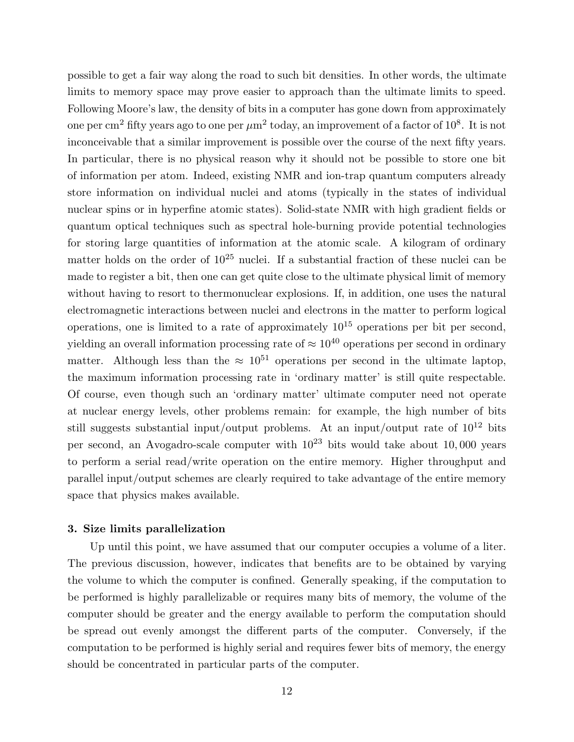possible to get a fair way along the road to such bit densities. In other words, the ultimate limits to memory space may prove easier to approach than the ultimate limits to speed. Following Moore's law, the density of bits in a computer has gone down from approximately one per cm<sup>2</sup> fifty years ago to one per  $\mu$ m<sup>2</sup> today, an improvement of a factor of  $10^8.$  It is not inconceivable that a similar improvement is possible over the course of the next fifty years. In particular, there is no physical reason why it should not be possible to store one bit of information per atom. Indeed, existing NMR and ion-trap quantum computers already store information on individual nuclei and atoms (typically in the states of individual nuclear spins or in hyperfine atomic states). Solid-state NMR with high gradient fields or quantum optical techniques such as spectral hole-burning provide potential technologies for storing large quantities of information at the atomic scale. A kilogram of ordinary matter holds on the order of  $10^{25}$  nuclei. If a substantial fraction of these nuclei can be made to register a bit, then one can get quite close to the ultimate physical limit of memory without having to resort to thermonuclear explosions. If, in addition, one uses the natural electromagnetic interactions between nuclei and electrons in the matter to perform logical operations, one is limited to a rate of approximately  $10^{15}$  operations per bit per second, yielding an overall information processing rate of  $\approx 10^{40}$  operations per second in ordinary matter. Although less than the  $\approx 10^{51}$  operations per second in the ultimate laptop, the maximum information processing rate in 'ordinary matter' is still quite respectable. Of course, even though such an 'ordinary matter' ultimate computer need not operate at nuclear energy levels, other problems remain: for example, the high number of bits still suggests substantial input/output problems. At an input/output rate of  $10^{12}$  bits per second, an Avogadro-scale computer with  $10^{23}$  bits would take about 10,000 years to perform a serial read/write operation on the entire memory. Higher throughput and parallel input/output schemes are clearly required to take advantage of the entire memory space that physics makes available.

## 3. Size limits parallelization

Up until this point, we have assumed that our computer occupies a volume of a liter. The previous discussion, however, indicates that benefits are to be obtained by varying the volume to which the computer is confined. Generally speaking, if the computation to be performed is highly parallelizable or requires many bits of memory, the volume of the computer should be greater and the energy available to perform the computation should be spread out evenly amongst the different parts of the computer. Conversely, if the computation to be performed is highly serial and requires fewer bits of memory, the energy should be concentrated in particular parts of the computer.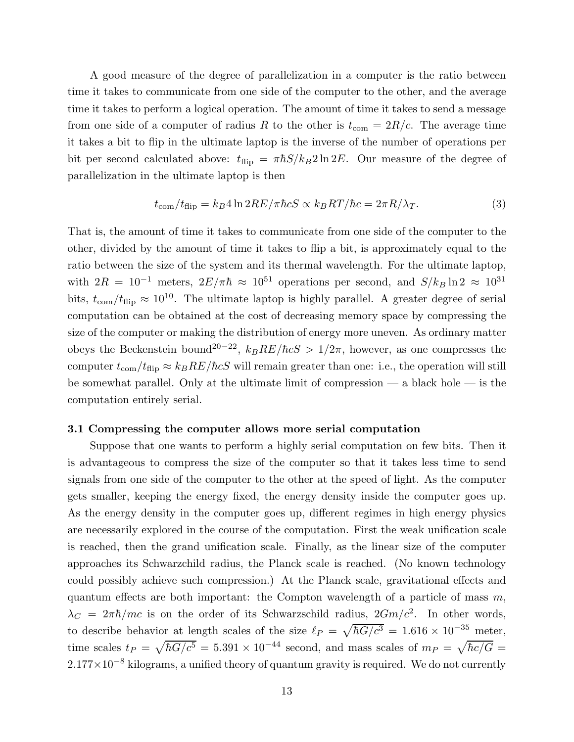A good measure of the degree of parallelization in a computer is the ratio between time it takes to communicate from one side of the computer to the other, and the average time it takes to perform a logical operation. The amount of time it takes to send a message from one side of a computer of radius R to the other is  $t_{\text{com}} = 2R/c$ . The average time it takes a bit to flip in the ultimate laptop is the inverse of the number of operations per bit per second calculated above:  $t_{\text{flip}} = \pi \hbar S / k_B 2 \ln 2E$ . Our measure of the degree of parallelization in the ultimate laptop is then

$$
t_{\rm com}/t_{\rm flip} = k_B 4 \ln 2RE/\pi \hbar c S \propto k_B RT/\hbar c = 2\pi R/\lambda_T.
$$
 (3)

That is, the amount of time it takes to communicate from one side of the computer to the other, divided by the amount of time it takes to flip a bit, is approximately equal to the ratio between the size of the system and its thermal wavelength. For the ultimate laptop, with  $2R = 10^{-1}$  meters,  $2E/\pi\hbar \approx 10^{51}$  operations per second, and  $S/k_B \ln 2 \approx 10^{31}$ bits,  $t_{\text{com}}/t_{\text{flip}} \approx 10^{10}$ . The ultimate laptop is highly parallel. A greater degree of serial computation can be obtained at the cost of decreasing memory space by compressing the size of the computer or making the distribution of energy more uneven. As ordinary matter obeys the Beckenstein bound<sup>20-22</sup>,  $k_B RE/\hbar cS > 1/2\pi$ , however, as one compresses the computer  $t_{\text{com}}/t_{\text{flip}} \approx k_B R E/\hbar c S$  will remain greater than one: i.e., the operation will still be somewhat parallel. Only at the ultimate limit of compression — a black hole — is the computation entirely serial.

### 3.1 Compressing the computer allows more serial computation

Suppose that one wants to perform a highly serial computation on few bits. Then it is advantageous to compress the size of the computer so that it takes less time to send signals from one side of the computer to the other at the speed of light. As the computer gets smaller, keeping the energy fixed, the energy density inside the computer goes up. As the energy density in the computer goes up, different regimes in high energy physics are necessarily explored in the course of the computation. First the weak unification scale is reached, then the grand unification scale. Finally, as the linear size of the computer approaches its Schwarzchild radius, the Planck scale is reached. (No known technology could possibly achieve such compression.) At the Planck scale, gravitational effects and quantum effects are both important: the Compton wavelength of a particle of mass  $m$ ,  $\lambda_C = 2\pi\hbar/mc$  is on the order of its Schwarzschild radius,  $2Gm/c^2$ . In other words, to describe behavior at length scales of the size  $\ell_P = \sqrt{\hbar G/c^3} = 1.616 \times 10^{-35}$  meter, time scales  $t_P = \sqrt{\hbar G/c^5} = 5.391 \times 10^{-44}$  second, and mass scales of  $m_P = \sqrt{\hbar c/G}$  $2.177\times10^{-8}$  kilograms, a unified theory of quantum gravity is required. We do not currently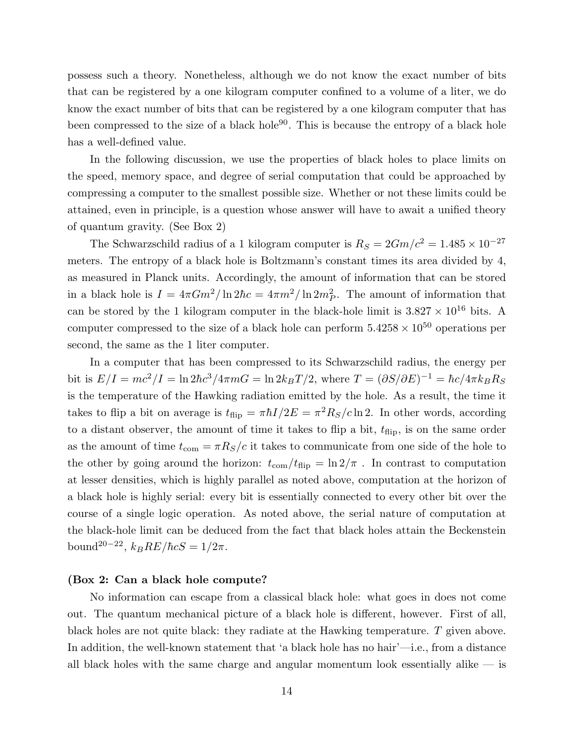possess such a theory. Nonetheless, although we do not know the exact number of bits that can be registered by a one kilogram computer confined to a volume of a liter, we do know the exact number of bits that can be registered by a one kilogram computer that has been compressed to the size of a black hole<sup>90</sup>. This is because the entropy of a black hole has a well-defined value.

In the following discussion, we use the properties of black holes to place limits on the speed, memory space, and degree of serial computation that could be approached by compressing a computer to the smallest possible size. Whether or not these limits could be attained, even in principle, is a question whose answer will have to await a unified theory of quantum gravity. (See Box 2)

The Schwarzschild radius of a 1 kilogram computer is  $R_S = 2Gm/c^2 = 1.485 \times 10^{-27}$ meters. The entropy of a black hole is Boltzmann's constant times its area divided by 4, as measured in Planck units. Accordingly, the amount of information that can be stored in a black hole is  $I = 4\pi Gm^2/\ln 2\hbar c = 4\pi m^2/\ln 2m_P^2$ . The amount of information that can be stored by the 1 kilogram computer in the black-hole limit is  $3.827 \times 10^{16}$  bits. A computer compressed to the size of a black hole can perform  $5.4258 \times 10^{50}$  operations per second, the same as the 1 liter computer.

In a computer that has been compressed to its Schwarzschild radius, the energy per bit is  $E/I = mc^2/I = \ln 2\hbar c^3/4\pi mG = \ln 2k_B T/2$ , where  $T = (\partial S/\partial E)^{-1} = \hbar c/4\pi k_B R_S$ is the temperature of the Hawking radiation emitted by the hole. As a result, the time it takes to flip a bit on average is  $t_{\text{flip}} = \pi \hbar I/2E = \pi^2 R_S/c \ln 2$ . In other words, according to a distant observer, the amount of time it takes to flip a bit,  $t_{\text{flip}}$ , is on the same order as the amount of time  $t_{\text{com}} = \pi R_S/c$  it takes to communicate from one side of the hole to the other by going around the horizon:  $t_{\text{com}}/t_{\text{flip}} = \ln 2/\pi$ . In contrast to computation at lesser densities, which is highly parallel as noted above, computation at the horizon of a black hole is highly serial: every bit is essentially connected to every other bit over the course of a single logic operation. As noted above, the serial nature of computation at the black-hole limit can be deduced from the fact that black holes attain the Beckenstein bound<sup>20-22</sup>,  $k_B RE/\hbar cS = 1/2\pi$ .

### (Box 2: Can a black hole compute?

No information can escape from a classical black hole: what goes in does not come out. The quantum mechanical picture of a black hole is different, however. First of all, black holes are not quite black: they radiate at the Hawking temperature. T given above. In addition, the well-known statement that 'a black hole has no hair'—i.e., from a distance all black holes with the same charge and angular momentum look essentially alike  $-$  is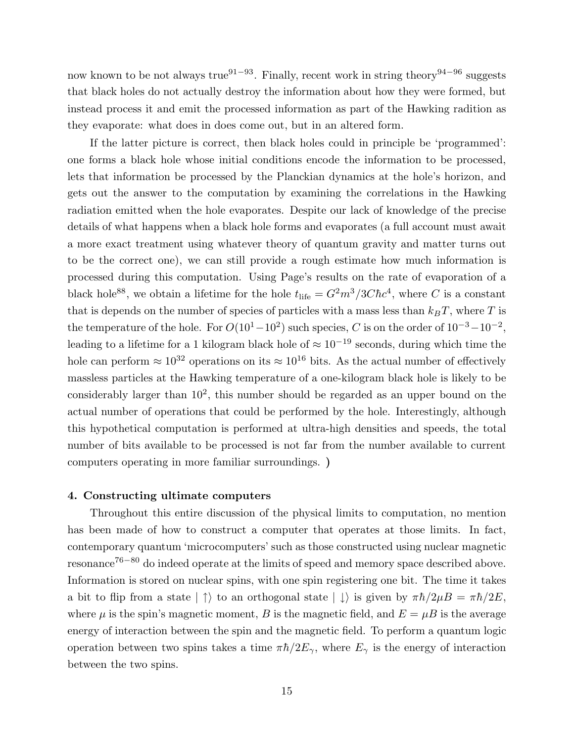now known to be not always true<sup>91−93</sup>. Finally, recent work in string theory<sup>94−96</sup> suggests that black holes do not actually destroy the information about how they were formed, but instead process it and emit the processed information as part of the Hawking radition as they evaporate: what does in does come out, but in an altered form.

If the latter picture is correct, then black holes could in principle be 'programmed': one forms a black hole whose initial conditions encode the information to be processed, lets that information be processed by the Planckian dynamics at the hole's horizon, and gets out the answer to the computation by examining the correlations in the Hawking radiation emitted when the hole evaporates. Despite our lack of knowledge of the precise details of what happens when a black hole forms and evaporates (a full account must await a more exact treatment using whatever theory of quantum gravity and matter turns out to be the correct one), we can still provide a rough estimate how much information is processed during this computation. Using Page's results on the rate of evaporation of a black hole<sup>88</sup>, we obtain a lifetime for the hole  $t_{\text{life}} = G^2 m^3 / 3C \hbar c^4$ , where C is a constant that is depends on the number of species of particles with a mass less than  $k_BT$ , where T is the temperature of the hole. For  $O(10^1-10^2)$  such species, C is on the order of  $10^{-3}-10^{-2}$ , leading to a lifetime for a 1 kilogram black hole of  $\approx 10^{-19}$  seconds, during which time the hole can perform  $\approx 10^{32}$  operations on its  $\approx 10^{16}$  bits. As the actual number of effectively massless particles at the Hawking temperature of a one-kilogram black hole is likely to be considerably larger than  $10^2$ , this number should be regarded as an upper bound on the actual number of operations that could be performed by the hole. Interestingly, although this hypothetical computation is performed at ultra-high densities and speeds, the total number of bits available to be processed is not far from the number available to current computers operating in more familiar surroundings. )

## 4. Constructing ultimate computers

Throughout this entire discussion of the physical limits to computation, no mention has been made of how to construct a computer that operates at those limits. In fact, contemporary quantum 'microcomputers' such as those constructed using nuclear magnetic resonance<sup>76</sup>−<sup>80</sup> do indeed operate at the limits of speed and memory space described above. Information is stored on nuclear spins, with one spin registering one bit. The time it takes a bit to flip from a state  $|\uparrow\rangle$  to an orthogonal state  $|\downarrow\rangle$  is given by  $\pi\hbar/2\mu B = \pi\hbar/2E$ , where  $\mu$  is the spin's magnetic moment, B is the magnetic field, and  $E = \mu B$  is the average energy of interaction between the spin and the magnetic field. To perform a quantum logic operation between two spins takes a time  $\pi \hbar/2E_{\gamma}$ , where  $E_{\gamma}$  is the energy of interaction between the two spins.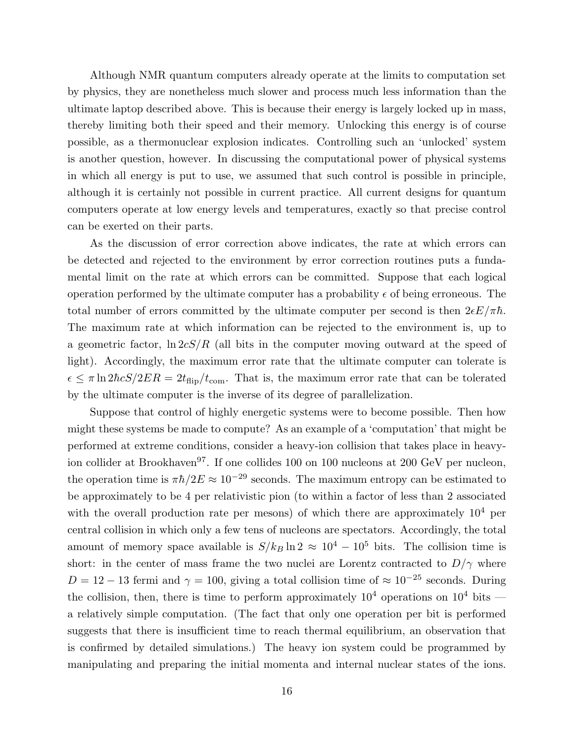Although NMR quantum computers already operate at the limits to computation set by physics, they are nonetheless much slower and process much less information than the ultimate laptop described above. This is because their energy is largely locked up in mass, thereby limiting both their speed and their memory. Unlocking this energy is of course possible, as a thermonuclear explosion indicates. Controlling such an 'unlocked' system is another question, however. In discussing the computational power of physical systems in which all energy is put to use, we assumed that such control is possible in principle, although it is certainly not possible in current practice. All current designs for quantum computers operate at low energy levels and temperatures, exactly so that precise control can be exerted on their parts.

As the discussion of error correction above indicates, the rate at which errors can be detected and rejected to the environment by error correction routines puts a fundamental limit on the rate at which errors can be committed. Suppose that each logical operation performed by the ultimate computer has a probability  $\epsilon$  of being erroneous. The total number of errors committed by the ultimate computer per second is then  $2\epsilon E/\pi\hbar$ . The maximum rate at which information can be rejected to the environment is, up to a geometric factor,  $\ln 2cS/R$  (all bits in the computer moving outward at the speed of light). Accordingly, the maximum error rate that the ultimate computer can tolerate is  $\epsilon \leq \pi \ln 2\hbar c S/2ER = 2t_{\rm flip}/t_{\rm com}$ . That is, the maximum error rate that can be tolerated by the ultimate computer is the inverse of its degree of parallelization.

Suppose that control of highly energetic systems were to become possible. Then how might these systems be made to compute? As an example of a 'computation' that might be performed at extreme conditions, consider a heavy-ion collision that takes place in heavyion collider at Brookhaven<sup>97</sup>. If one collides 100 on 100 nucleons at 200 GeV per nucleon, the operation time is  $\pi \hbar/2E \approx 10^{-29}$  seconds. The maximum entropy can be estimated to be approximately to be 4 per relativistic pion (to within a factor of less than 2 associated with the overall production rate per mesons) of which there are approximately  $10^4$  per central collision in which only a few tens of nucleons are spectators. Accordingly, the total amount of memory space available is  $S/k_B \ln 2 \approx 10^4 - 10^5$  bits. The collision time is short: in the center of mass frame the two nuclei are Lorentz contracted to  $D/\gamma$  where  $D = 12 - 13$  fermi and  $\gamma = 100$ , giving a total collision time of  $\approx 10^{-25}$  seconds. During the collision, then, there is time to perform approximately  $10^4$  operations on  $10^4$  bits a relatively simple computation. (The fact that only one operation per bit is performed suggests that there is insufficient time to reach thermal equilibrium, an observation that is confirmed by detailed simulations.) The heavy ion system could be programmed by manipulating and preparing the initial momenta and internal nuclear states of the ions.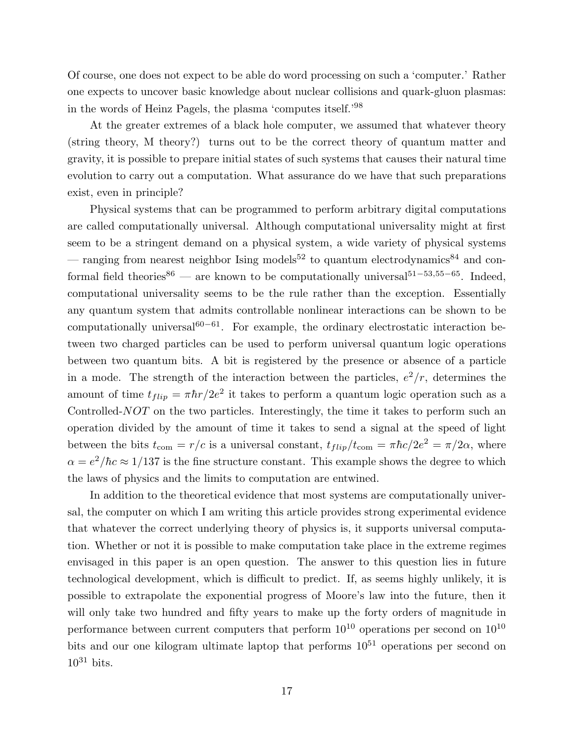Of course, one does not expect to be able do word processing on such a 'computer.' Rather one expects to uncover basic knowledge about nuclear collisions and quark-gluon plasmas: in the words of Heinz Pagels, the plasma 'computes itself.'<sup>98</sup>

At the greater extremes of a black hole computer, we assumed that whatever theory (string theory, M theory?) turns out to be the correct theory of quantum matter and gravity, it is possible to prepare initial states of such systems that causes their natural time evolution to carry out a computation. What assurance do we have that such preparations exist, even in principle?

Physical systems that can be programmed to perform arbitrary digital computations are called computationally universal. Although computational universality might at first seem to be a stringent demand on a physical system, a wide variety of physical systems — ranging from nearest neighbor Ising models<sup>52</sup> to quantum electrodynamics<sup>84</sup> and conformal field theories<sup>86</sup> — are known to be computationally universal<sup>51–53,55–65</sup>. Indeed, computational universality seems to be the rule rather than the exception. Essentially any quantum system that admits controllable nonlinear interactions can be shown to be computationally universal $60-61$ . For example, the ordinary electrostatic interaction between two charged particles can be used to perform universal quantum logic operations between two quantum bits. A bit is registered by the presence or absence of a particle in a mode. The strength of the interaction between the particles,  $e^2/r$ , determines the amount of time  $t_{flip} = \pi \hbar r / 2e^2$  it takes to perform a quantum logic operation such as a Controlled-NOT on the two particles. Interestingly, the time it takes to perform such an operation divided by the amount of time it takes to send a signal at the speed of light between the bits  $t_{\text{com}} = r/c$  is a universal constant,  $t_{flip}/t_{\text{com}} = \pi \hbar c/2e^2 = \pi/2\alpha$ , where  $\alpha = e^2/\hbar c \approx 1/137$  is the fine structure constant. This example shows the degree to which the laws of physics and the limits to computation are entwined.

In addition to the theoretical evidence that most systems are computationally universal, the computer on which I am writing this article provides strong experimental evidence that whatever the correct underlying theory of physics is, it supports universal computation. Whether or not it is possible to make computation take place in the extreme regimes envisaged in this paper is an open question. The answer to this question lies in future technological development, which is difficult to predict. If, as seems highly unlikely, it is possible to extrapolate the exponential progress of Moore's law into the future, then it will only take two hundred and fifty years to make up the forty orders of magnitude in performance between current computers that perform  $10^{10}$  operations per second on  $10^{10}$ bits and our one kilogram ultimate laptop that performs  $10^{51}$  operations per second on  $10^{31}$  bits.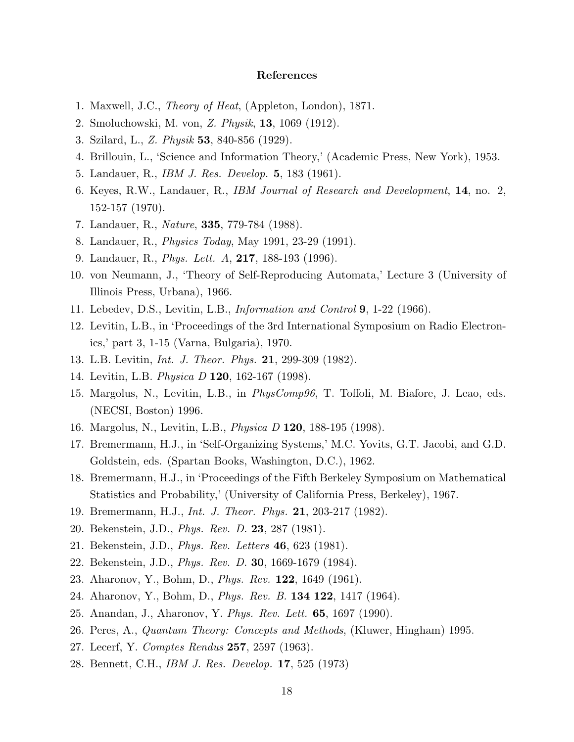# References

- 1. Maxwell, J.C., *Theory of Heat*, (Appleton, London), 1871.
- 2. Smoluchowski, M. von, *Z. Physik*, 13, 1069 (1912).
- 3. Szilard, L., *Z. Physik* 53, 840-856 (1929).
- 4. Brillouin, L., 'Science and Information Theory,' (Academic Press, New York), 1953.
- 5. Landauer, R., *IBM J. Res. Develop.* 5, 183 (1961).
- 6. Keyes, R.W., Landauer, R., *IBM Journal of Research and Development*, 14, no. 2, 152-157 (1970).
- 7. Landauer, R., *Nature*, 335, 779-784 (1988).
- 8. Landauer, R., *Physics Today*, May 1991, 23-29 (1991).
- 9. Landauer, R., *Phys. Lett. A*, 217, 188-193 (1996).
- 10. von Neumann, J., 'Theory of Self-Reproducing Automata,' Lecture 3 (University of Illinois Press, Urbana), 1966.
- 11. Lebedev, D.S., Levitin, L.B., *Information and Control* 9, 1-22 (1966).
- 12. Levitin, L.B., in 'Proceedings of the 3rd International Symposium on Radio Electronics,' part 3, 1-15 (Varna, Bulgaria), 1970.
- 13. L.B. Levitin, *Int. J. Theor. Phys.* 21, 299-309 (1982).
- 14. Levitin, L.B. *Physica D* 120, 162-167 (1998).
- 15. Margolus, N., Levitin, L.B., in *PhysComp96*, T. Toffoli, M. Biafore, J. Leao, eds. (NECSI, Boston) 1996.
- 16. Margolus, N., Levitin, L.B., *Physica D* 120, 188-195 (1998).
- 17. Bremermann, H.J., in 'Self-Organizing Systems,' M.C. Yovits, G.T. Jacobi, and G.D. Goldstein, eds. (Spartan Books, Washington, D.C.), 1962.
- 18. Bremermann, H.J., in 'Proceedings of the Fifth Berkeley Symposium on Mathematical Statistics and Probability,' (University of California Press, Berkeley), 1967.
- 19. Bremermann, H.J., *Int. J. Theor. Phys.* 21, 203-217 (1982).
- 20. Bekenstein, J.D., *Phys. Rev. D.* 23, 287 (1981).
- 21. Bekenstein, J.D., *Phys. Rev. Letters* 46, 623 (1981).
- 22. Bekenstein, J.D., *Phys. Rev. D.* 30, 1669-1679 (1984).
- 23. Aharonov, Y., Bohm, D., *Phys. Rev.* 122, 1649 (1961).
- 24. Aharonov, Y., Bohm, D., *Phys. Rev. B.* 134 122, 1417 (1964).
- 25. Anandan, J., Aharonov, Y. *Phys. Rev. Lett.* 65, 1697 (1990).
- 26. Peres, A., *Quantum Theory: Concepts and Methods*, (Kluwer, Hingham) 1995.
- 27. Lecerf, Y. *Comptes Rendus* 257, 2597 (1963).
- 28. Bennett, C.H., *IBM J. Res. Develop.* 17, 525 (1973)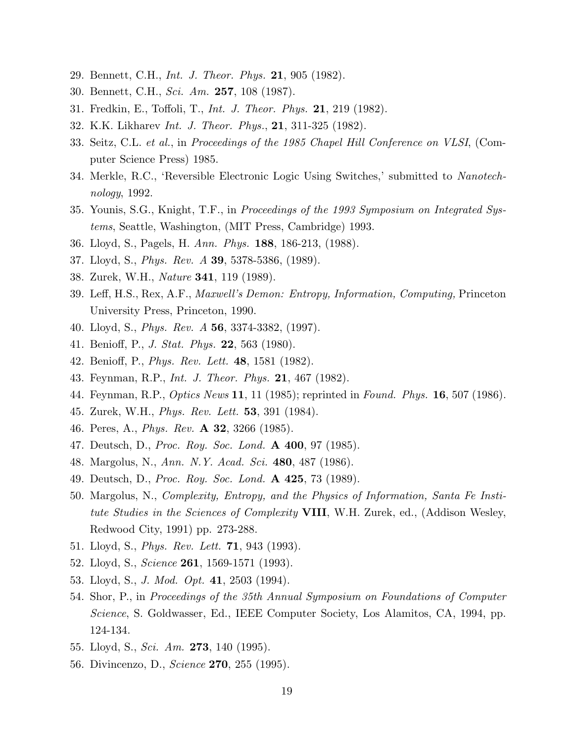- 29. Bennett, C.H., *Int. J. Theor. Phys.* 21, 905 (1982).
- 30. Bennett, C.H., *Sci. Am.* 257, 108 (1987).
- 31. Fredkin, E., Toffoli, T., *Int. J. Theor. Phys.* 21, 219 (1982).
- 32. K.K. Likharev *Int. J. Theor. Phys.*, 21, 311-325 (1982).
- 33. Seitz, C.L. *et al.*, in *Proceedings of the 1985 Chapel Hill Conference on VLSI*, (Computer Science Press) 1985.
- 34. Merkle, R.C., 'Reversible Electronic Logic Using Switches,' submitted to *Nanotechnology*, 1992.
- 35. Younis, S.G., Knight, T.F., in *Proceedings of the 1993 Symposium on Integrated Systems*, Seattle, Washington, (MIT Press, Cambridge) 1993.
- 36. Lloyd, S., Pagels, H. *Ann. Phys.* 188, 186-213, (1988).
- 37. Lloyd, S., *Phys. Rev. A* 39, 5378-5386, (1989).
- 38. Zurek, W.H., *Nature* 341, 119 (1989).
- 39. Leff, H.S., Rex, A.F., *Maxwell's Demon: Entropy, Information, Computing,* Princeton University Press, Princeton, 1990.
- 40. Lloyd, S., *Phys. Rev. A* 56, 3374-3382, (1997).
- 41. Benioff, P., *J. Stat. Phys.* 22, 563 (1980).
- 42. Benioff, P., *Phys. Rev. Lett.* 48, 1581 (1982).
- 43. Feynman, R.P., *Int. J. Theor. Phys.* 21, 467 (1982).
- 44. Feynman, R.P., *Optics News* 11, 11 (1985); reprinted in *Found. Phys.* 16, 507 (1986).
- 45. Zurek, W.H., *Phys. Rev. Lett.* 53, 391 (1984).
- 46. Peres, A., *Phys. Rev.* A 32, 3266 (1985).
- 47. Deutsch, D., *Proc. Roy. Soc. Lond.* A 400, 97 (1985).
- 48. Margolus, N., *Ann. N.Y. Acad. Sci.* 480, 487 (1986).
- 49. Deutsch, D., *Proc. Roy. Soc. Lond.* A 425, 73 (1989).
- 50. Margolus, N., *Complexity, Entropy, and the Physics of Information, Santa Fe Institute Studies in the Sciences of Complexity* VIII, W.H. Zurek, ed., (Addison Wesley, Redwood City, 1991) pp. 273-288.
- 51. Lloyd, S., *Phys. Rev. Lett.* 71, 943 (1993).
- 52. Lloyd, S., *Science* 261, 1569-1571 (1993).
- 53. Lloyd, S., *J. Mod. Opt.* 41, 2503 (1994).
- 54. Shor, P., in *Proceedings of the 35th Annual Symposium on Foundations of Computer Science*, S. Goldwasser, Ed., IEEE Computer Society, Los Alamitos, CA, 1994, pp. 124-134.
- 55. Lloyd, S., *Sci. Am.* 273, 140 (1995).
- 56. Divincenzo, D., *Science* 270, 255 (1995).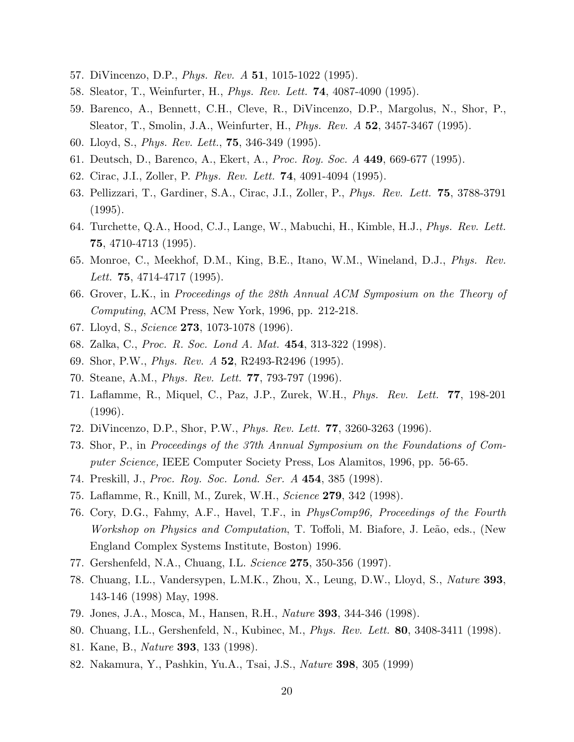- 57. DiVincenzo, D.P., *Phys. Rev. A* 51, 1015-1022 (1995).
- 58. Sleator, T., Weinfurter, H., *Phys. Rev. Lett.* 74, 4087-4090 (1995).
- 59. Barenco, A., Bennett, C.H., Cleve, R., DiVincenzo, D.P., Margolus, N., Shor, P., Sleator, T., Smolin, J.A., Weinfurter, H., *Phys. Rev. A* 52, 3457-3467 (1995).
- 60. Lloyd, S., *Phys. Rev. Lett.*, 75, 346-349 (1995).
- 61. Deutsch, D., Barenco, A., Ekert, A., *Proc. Roy. Soc. A* 449, 669-677 (1995).
- 62. Cirac, J.I., Zoller, P. *Phys. Rev. Lett.* 74, 4091-4094 (1995).
- 63. Pellizzari, T., Gardiner, S.A., Cirac, J.I., Zoller, P., *Phys. Rev. Lett.* 75, 3788-3791 (1995).
- 64. Turchette, Q.A., Hood, C.J., Lange, W., Mabuchi, H., Kimble, H.J., *Phys. Rev. Lett.* 75, 4710-4713 (1995).
- 65. Monroe, C., Meekhof, D.M., King, B.E., Itano, W.M., Wineland, D.J., *Phys. Rev. Lett.* 75, 4714-4717 (1995).
- 66. Grover, L.K., in *Proceedings of the 28th Annual ACM Symposium on the Theory of Computing*, ACM Press, New York, 1996, pp. 212-218.
- 67. Lloyd, S., *Science* 273, 1073-1078 (1996).
- 68. Zalka, C., *Proc. R. Soc. Lond A. Mat.* 454, 313-322 (1998).
- 69. Shor, P.W., *Phys. Rev. A* 52, R2493-R2496 (1995).
- 70. Steane, A.M., *Phys. Rev. Lett.* 77, 793-797 (1996).
- 71. Laflamme, R., Miquel, C., Paz, J.P., Zurek, W.H., *Phys. Rev. Lett.* 77, 198-201 (1996).
- 72. DiVincenzo, D.P., Shor, P.W., *Phys. Rev. Lett.* 77, 3260-3263 (1996).
- 73. Shor, P., in *Proceedings of the 37th Annual Symposium on the Foundations of Computer Science,* IEEE Computer Society Press, Los Alamitos, 1996, pp. 56-65.
- 74. Preskill, J., *Proc. Roy. Soc. Lond. Ser. A* 454, 385 (1998).
- 75. Laflamme, R., Knill, M., Zurek, W.H., *Science* 279, 342 (1998).
- 76. Cory, D.G., Fahmy, A.F., Havel, T.F., in *PhysComp96, Proceedings of the Fourth Workshop on Physics and Computation*, T. Toffoli, M. Biafore, J. Leão, eds., (New England Complex Systems Institute, Boston) 1996.
- 77. Gershenfeld, N.A., Chuang, I.L. *Science* 275, 350-356 (1997).
- 78. Chuang, I.L., Vandersypen, L.M.K., Zhou, X., Leung, D.W., Lloyd, S., *Nature* 393, 143-146 (1998) May, 1998.
- 79. Jones, J.A., Mosca, M., Hansen, R.H., *Nature* 393, 344-346 (1998).
- 80. Chuang, I.L., Gershenfeld, N., Kubinec, M., *Phys. Rev. Lett.* 80, 3408-3411 (1998).
- 81. Kane, B., *Nature* 393, 133 (1998).
- 82. Nakamura, Y., Pashkin, Yu.A., Tsai, J.S., *Nature* 398, 305 (1999)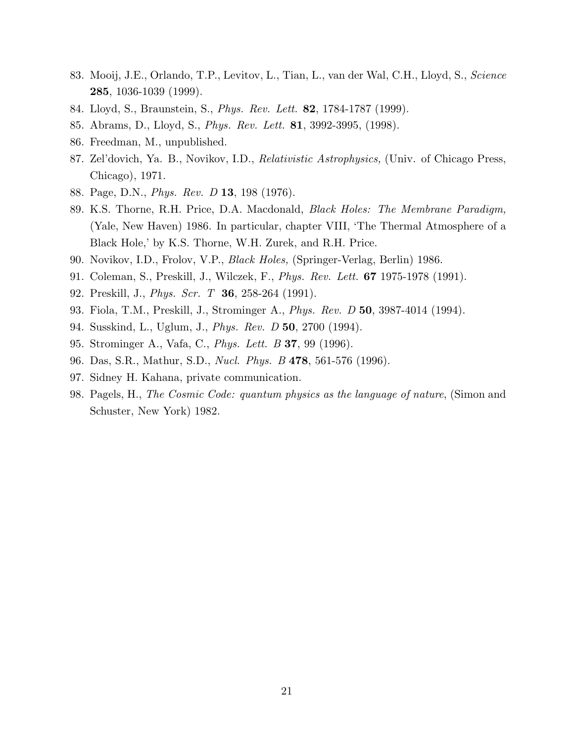- 83. Mooij, J.E., Orlando, T.P., Levitov, L., Tian, L., van der Wal, C.H., Lloyd, S., *Science* 285, 1036-1039 (1999).
- 84. Lloyd, S., Braunstein, S., *Phys. Rev. Lett.* 82, 1784-1787 (1999).
- 85. Abrams, D., Lloyd, S., *Phys. Rev. Lett.* 81, 3992-3995, (1998).
- 86. Freedman, M., unpublished.
- 87. Zel'dovich, Ya. B., Novikov, I.D., *Relativistic Astrophysics,* (Univ. of Chicago Press, Chicago), 1971.
- 88. Page, D.N., *Phys. Rev. D* 13, 198 (1976).
- 89. K.S. Thorne, R.H. Price, D.A. Macdonald, *Black Holes: The Membrane Paradigm,* (Yale, New Haven) 1986. In particular, chapter VIII, 'The Thermal Atmosphere of a Black Hole,' by K.S. Thorne, W.H. Zurek, and R.H. Price.
- 90. Novikov, I.D., Frolov, V.P., *Black Holes,* (Springer-Verlag, Berlin) 1986.
- 91. Coleman, S., Preskill, J., Wilczek, F., *Phys. Rev. Lett.* 67 1975-1978 (1991).
- 92. Preskill, J., *Phys. Scr. T* 36, 258-264 (1991).
- 93. Fiola, T.M., Preskill, J., Strominger A., *Phys. Rev. D* 50, 3987-4014 (1994).
- 94. Susskind, L., Uglum, J., *Phys. Rev. D* 50, 2700 (1994).
- 95. Strominger A., Vafa, C., *Phys. Lett. B* 37, 99 (1996).
- 96. Das, S.R., Mathur, S.D., *Nucl. Phys. B* 478, 561-576 (1996).
- 97. Sidney H. Kahana, private communication.
- 98. Pagels, H., *The Cosmic Code: quantum physics as the language of nature*, (Simon and Schuster, New York) 1982.